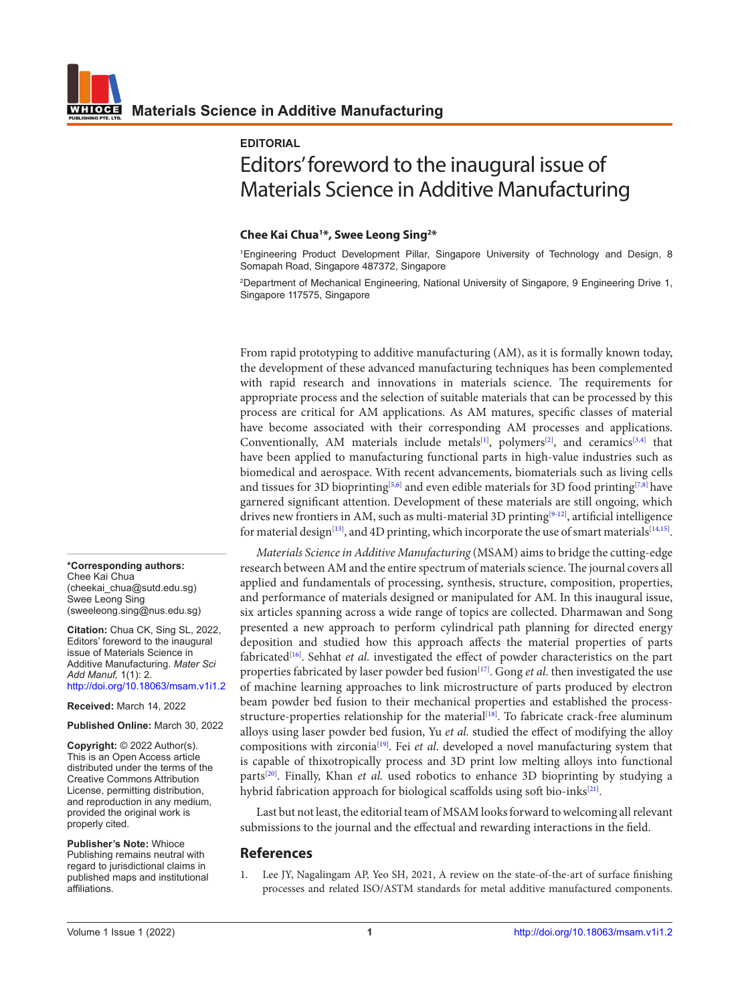## **EDITORIAL**

## Editors' foreword to the inaugural issue of Materials Science in Additive Manufacturing

## **Chee Kai Chua1 \*, Swee Leong Sing2 \***

1 Engineering Product Development Pillar, Singapore University of Technology and Design, 8 Somapah Road, Singapore 487372, Singapore

2 Department of Mechanical Engineering, National University of Singapore, 9 Engineering Drive 1, Singapore 117575, Singapore

From rapid prototyping to additive manufacturing (AM), as it is formally known today, the development of these advanced manufacturing techniques has been complemented with rapid research and innovations in materials science. The requirements for appropriate process and the selection of suitable materials that can be processed by this process are critical for AM applications. As AM matures, specific classes of material have become associated with their corresponding AM processes and applications. Conventionally, AM materials include metals<sup>[[1\]](#page-0-0)</sup>, polymers<sup>[[2\]](#page-1-0)</sup>, and ceramics<sup>[3[,4\]](#page-1-2)</sup> that have been applied to manufacturing functional parts in high-value industries such as biomedical and aerospace. With recent advancements, biomaterials such as living cells and tissues for 3D bioprinting<sup>[\[5](#page-1-3),[6\]](#page-1-4)</sup> and even edible materials for 3D food printing<sup>[\[7,](#page-1-5)[8\]](#page-1-6)</sup> have garnered significant attention. Development of these materials are still ongoing, which drives new frontiers in AM, such as multi-material 3D printing<sup>[\[9-](#page-1-7)[12\]](#page-1-8)</sup>, artificial intelligence for material design $^{[13]}$  $^{[13]}$  $^{[13]}$ , and 4D printing, which incorporate the use of smart materials $^{[14,15]}$  $^{[14,15]}$  $^{[14,15]}$  $^{[14,15]}$  $^{[14,15]}$ .

*Materials Science in Additive Manufacturing* (MSAM) aims to bridge the cutting-edge research between AM and the entire spectrum of materials science. The journal covers all applied and fundamentals of processing, synthesis, structure, composition, properties, and performance of materials designed or manipulated for AM. In this inaugural issue, six articles spanning across a wide range of topics are collected. Dharmawan and Song presented a new approach to perform cylindrical path planning for directed energy deposition and studied how this approach affects the material properties of parts fabricated[\[16\]](#page-1-0) . Sehhat *et al.* investigated the effect of powder characteristics on the part properties fabricated by laser powder bed fusion<sup>[[17](#page-1-0)]</sup>. Gong *et al*. then investigated the use of machine learning approaches to link microstructure of parts produced by electron beam powder bed fusion to their mechanical properties and established the process-structure-properties relationship for the material<sup>[[18](#page-1-0)]</sup>. To fabricate crack-free aluminum alloys using laser powder bed fusion, Yu *et al.* studied the effect of modifying the alloy compositions with zirconia<sup>[\[19\]](#page-1-0)</sup>. Fei et al. developed a novel manufacturing system that is capable of thixotropically process and 3D print low melting alloys into functional parts<sup>[\[20](#page-1-0)]</sup>. Finally, Khan *et al.* used robotics to enhance 3D bioprinting by studying a hybrid fabrication approach for biological scaffolds using soft bio-inks[[21](#page-1-0)].

Last but not least, the editorial team of MSAM looks forward to welcoming all relevant submissions to the journal and the effectual and rewarding interactions in the field.

## **References**

<span id="page-0-0"></span>1. Lee JY, Nagalingam AP, Yeo SH, 2021, A review on the state-of-the-art of surface finishing processes and related ISO/ASTM standards for metal additive manufactured components.

**\*Corresponding authors:** Chee Kai Chua (cheekai\_chua@sutd.edu.sg) Swee Leong Sing (sweeleong.sing@nus.edu.sg)

**Citation:** Chua CK, Sing SL, 2022, Editors' foreword to the inaugural issue of Materials Science in Additive Manufacturing. *Mater Sci Add Manuf,* 1(1): 2. http://doi.org/10.18063/msam.v1i1.2

**Received:** March 14, 2022

**Published Online:** March 30, 2022

**Copyright:** © 2022 Author(s). This is an Open Access article distributed under the terms of the [Creative Commons Attribution](https://creativecommons.org/licenses/by/4.0/)  [License,](https://creativecommons.org/licenses/by/4.0/) permitting distribution, and reproduction in any medium, provided the original work is properly cited.

**Publisher's Note:** Whioce Publishing remains neutral with regard to jurisdictional claims in published maps and institutional affiliations.